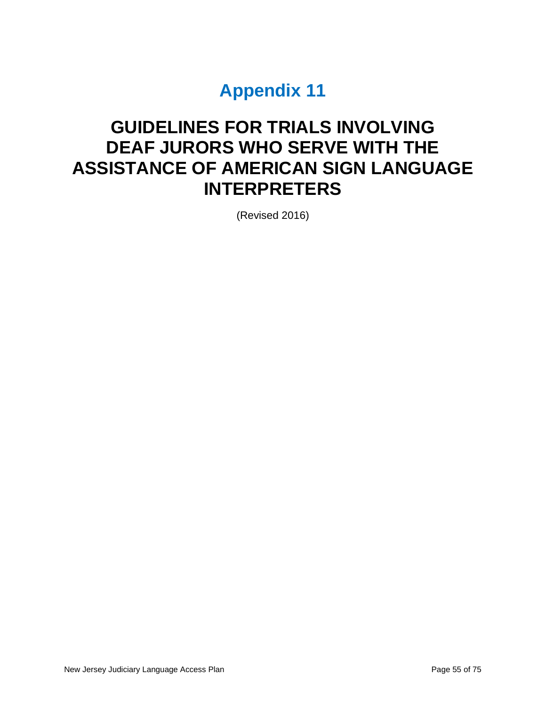# **Appendix 11**

# **GUIDELINES FOR TRIALS INVOLVING DEAF JURORS WHO SERVE WITH THE ASSISTANCE OF AMERICAN SIGN LANGUAGE INTERPRETERS**

(Revised 2016)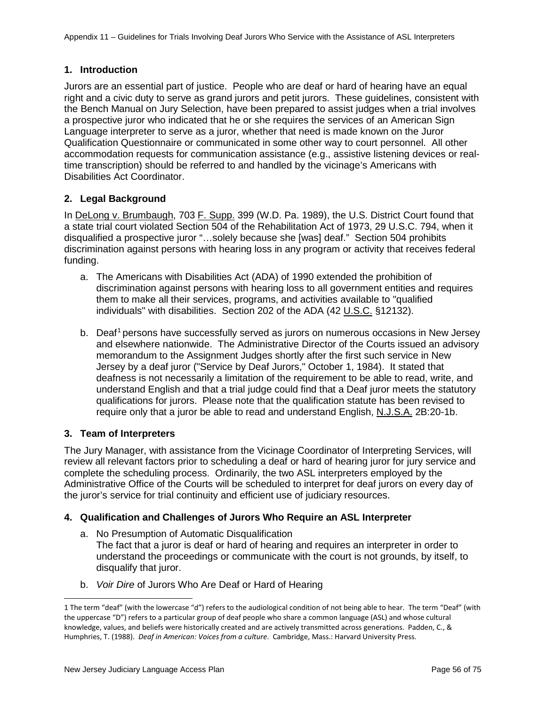## **1. Introduction**

Jurors are an essential part of justice. People who are deaf or hard of hearing have an equal right and a civic duty to serve as grand jurors and petit jurors. These guidelines, consistent with the Bench Manual on Jury Selection, have been prepared to assist judges when a trial involves a prospective juror who indicated that he or she requires the services of an American Sign Language interpreter to serve as a juror, whether that need is made known on the Juror Qualification Questionnaire or communicated in some other way to court personnel. All other accommodation requests for communication assistance (e.g., assistive listening devices or realtime transcription) should be referred to and handled by the vicinage's Americans with Disabilities Act Coordinator.

## **2. Legal Background**

In DeLong v. Brumbaugh, 703 F. Supp. 399 (W.D. Pa. 1989), the U.S. District Court found that a state trial court violated Section 504 of the Rehabilitation Act of 1973, 29 U.S.C. 794, when it disqualified a prospective juror "…solely because she [was] deaf." Section 504 prohibits discrimination against persons with hearing loss in any program or activity that receives federal funding.

- a. The Americans with Disabilities Act (ADA) of 1990 extended the prohibition of discrimination against persons with hearing loss to all government entities and requires them to make all their services, programs, and activities available to "qualified individuals" with disabilities. Section 202 of the ADA (42 U.S.C. §12132).
- b. Deaf<sup>[1](#page-1-0)</sup> persons have successfully served as jurors on numerous occasions in New Jersey and elsewhere nationwide. The Administrative Director of the Courts issued an advisory memorandum to the Assignment Judges shortly after the first such service in New Jersey by a deaf juror ("Service by Deaf Jurors," October 1, 1984). It stated that deafness is not necessarily a limitation of the requirement to be able to read, write, and understand English and that a trial judge could find that a Deaf juror meets the statutory qualifications for jurors. Please note that the qualification statute has been revised to require only that a juror be able to read and understand English, N.J.S.A. 2B:20-1b.

## **3. Team of Interpreters**

 $\overline{a}$ 

The Jury Manager, with assistance from the Vicinage Coordinator of Interpreting Services, will review all relevant factors prior to scheduling a deaf or hard of hearing juror for jury service and complete the scheduling process. Ordinarily, the two ASL interpreters employed by the Administrative Office of the Courts will be scheduled to interpret for deaf jurors on every day of the juror's service for trial continuity and efficient use of judiciary resources.

## **4. Qualification and Challenges of Jurors Who Require an ASL Interpreter**

- a. No Presumption of Automatic Disqualification The fact that a juror is deaf or hard of hearing and requires an interpreter in order to understand the proceedings or communicate with the court is not grounds, by itself, to disqualify that juror.
- b. *Voir Dire* of Jurors Who Are Deaf or Hard of Hearing

<span id="page-1-0"></span><sup>1</sup> The term "deaf" (with the lowercase "d") refers to the audiological condition of not being able to hear. The term "Deaf" (with the uppercase "D") refers to a particular group of deaf people who share a common language (ASL) and whose cultural knowledge, values, and beliefs were historically created and are actively transmitted across generations. Padden, C., & Humphries, T. (1988). *Deaf in American: Voices from a culture*. Cambridge, Mass.: Harvard University Press.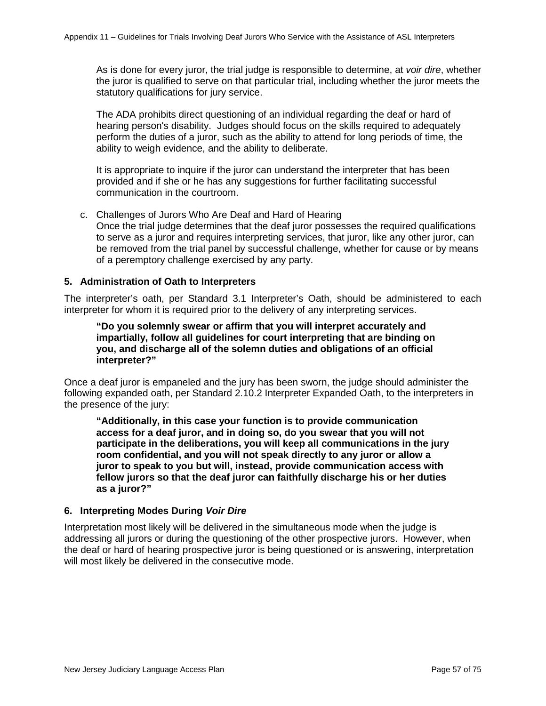As is done for every juror, the trial judge is responsible to determine, at *voir dire*, whether the juror is qualified to serve on that particular trial, including whether the juror meets the statutory qualifications for jury service.

The ADA prohibits direct questioning of an individual regarding the deaf or hard of hearing person's disability. Judges should focus on the skills required to adequately perform the duties of a juror, such as the ability to attend for long periods of time, the ability to weigh evidence, and the ability to deliberate.

It is appropriate to inquire if the juror can understand the interpreter that has been provided and if she or he has any suggestions for further facilitating successful communication in the courtroom.

c. Challenges of Jurors Who Are Deaf and Hard of Hearing Once the trial judge determines that the deaf juror possesses the required qualifications to serve as a juror and requires interpreting services, that juror, like any other juror, can be removed from the trial panel by successful challenge, whether for cause or by means of a peremptory challenge exercised by any party.

### **5. Administration of Oath to Interpreters**

The interpreter's oath, per Standard 3.1 Interpreter's Oath, should be administered to each interpreter for whom it is required prior to the delivery of any interpreting services.

**"Do you solemnly swear or affirm that you will interpret accurately and impartially, follow all guidelines for court interpreting that are binding on you, and discharge all of the solemn duties and obligations of an official interpreter?"**

Once a deaf juror is empaneled and the jury has been sworn, the judge should administer the following expanded oath, per Standard 2.10.2 Interpreter Expanded Oath, to the interpreters in the presence of the jury:

**"Additionally, in this case your function is to provide communication access for a deaf juror, and in doing so, do you swear that you will not participate in the deliberations, you will keep all communications in the jury room confidential, and you will not speak directly to any juror or allow a juror to speak to you but will, instead, provide communication access with fellow jurors so that the deaf juror can faithfully discharge his or her duties as a juror?"**

#### **6. Interpreting Modes During** *Voir Dire*

Interpretation most likely will be delivered in the simultaneous mode when the judge is addressing all jurors or during the questioning of the other prospective jurors. However, when the deaf or hard of hearing prospective juror is being questioned or is answering, interpretation will most likely be delivered in the consecutive mode.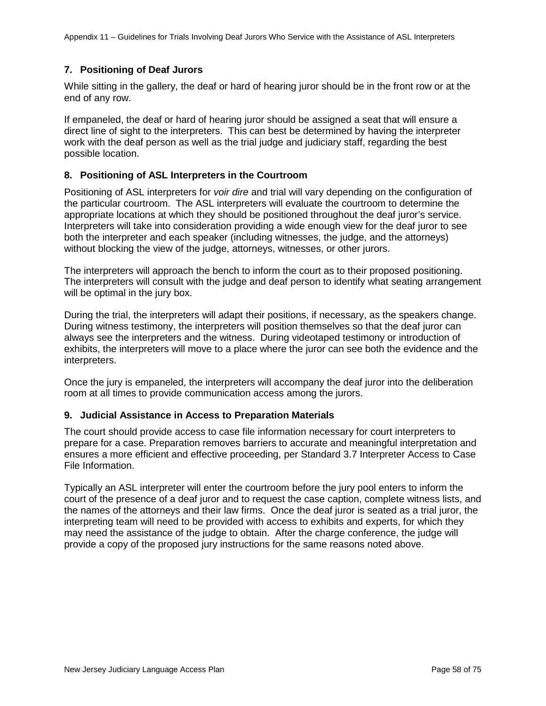## **7. Positioning of Deaf Jurors**

While sitting in the gallery, the deaf or hard of hearing juror should be in the front row or at the end of any row.

If empaneled, the deaf or hard of hearing juror should be assigned a seat that will ensure a direct line of sight to the interpreters. This can best be determined by having the interpreter work with the deaf person as well as the trial judge and judiciary staff, regarding the best possible location.

## **8. Positioning of ASL Interpreters in the Courtroom**

Positioning of ASL interpreters for *voir dire* and trial will vary depending on the configuration of the particular courtroom. The ASL interpreters will evaluate the courtroom to determine the appropriate locations at which they should be positioned throughout the deaf juror's service. Interpreters will take into consideration providing a wide enough view for the deaf juror to see both the interpreter and each speaker (including witnesses, the judge, and the attorneys) without blocking the view of the judge, attorneys, witnesses, or other jurors.

The interpreters will approach the bench to inform the court as to their proposed positioning. The interpreters will consult with the judge and deaf person to identify what seating arrangement will be optimal in the jury box.

During the trial, the interpreters will adapt their positions, if necessary, as the speakers change. During witness testimony, the interpreters will position themselves so that the deaf juror can always see the interpreters and the witness. During videotaped testimony or introduction of exhibits, the interpreters will move to a place where the juror can see both the evidence and the interpreters.

Once the jury is empaneled, the interpreters will accompany the deaf juror into the deliberation room at all times to provide communication access among the jurors.

## **9. Judicial Assistance in Access to Preparation Materials**

The court should provide access to case file information necessary for court interpreters to prepare for a case. Preparation removes barriers to accurate and meaningful interpretation and ensures a more efficient and effective proceeding, per Standard 3.7 Interpreter Access to Case File Information.

Typically an ASL interpreter will enter the courtroom before the jury pool enters to inform the court of the presence of a deaf juror and to request the case caption, complete witness lists, and the names of the attorneys and their law firms. Once the deaf juror is seated as a trial juror, the interpreting team will need to be provided with access to exhibits and experts, for which they may need the assistance of the judge to obtain. After the charge conference, the judge will provide a copy of the proposed jury instructions for the same reasons noted above.